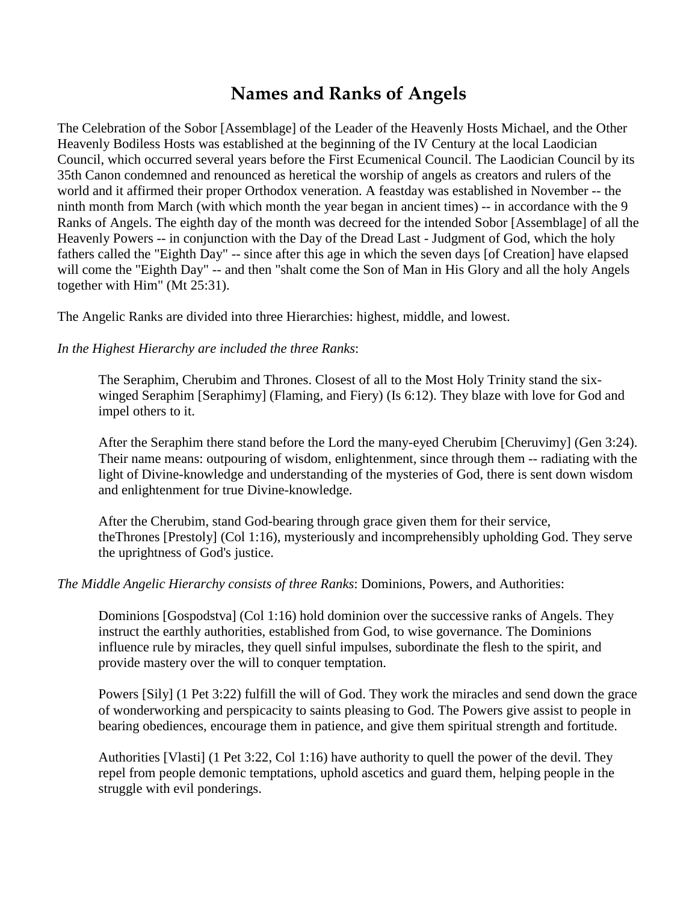## **Names and Ranks of Angels**

The Celebration of the Sobor [Assemblage] of the Leader of the Heavenly Hosts Michael, and the Other Heavenly Bodiless Hosts was established at the beginning of the IV Century at the local Laodician Council, which occurred several years before the First Ecumenical Council. The Laodician Council by its 35th Canon condemned and renounced as heretical the worship of angels as creators and rulers of the world and it affirmed their proper Orthodox veneration. A feastday was established in November -- the ninth month from March (with which month the year began in ancient times) -- in accordance with the 9 Ranks of Angels. The eighth day of the month was decreed for the intended Sobor [Assemblage] of all the Heavenly Powers -- in conjunction with the Day of the Dread Last - Judgment of God, which the holy fathers called the "Eighth Day" -- since after this age in which the seven days [of Creation] have elapsed will come the "Eighth Day" -- and then "shalt come the Son of Man in His Glory and all the holy Angels together with Him" (Mt 25:31).

The Angelic Ranks are divided into three Hierarchies: highest, middle, and lowest.

*In the Highest Hierarchy are included the three Ranks*:

The Seraphim, Cherubim and Thrones. Closest of all to the Most Holy Trinity stand the sixwinged Seraphim [Seraphimy] (Flaming, and Fiery) (Is 6:12). They blaze with love for God and impel others to it.

After the Seraphim there stand before the Lord the many-eyed Cherubim [Cheruvimy] (Gen 3:24). Their name means: outpouring of wisdom, enlightenment, since through them -- radiating with the light of Divine-knowledge and understanding of the mysteries of God, there is sent down wisdom and enlightenment for true Divine-knowledge.

After the Cherubim, stand God-bearing through grace given them for their service, theThrones [Prestoly] (Col 1:16), mysteriously and incomprehensibly upholding God. They serve the uprightness of God's justice.

*The Middle Angelic Hierarchy consists of three Ranks*: Dominions, Powers, and Authorities:

Dominions [Gospodstva] (Col 1:16) hold dominion over the successive ranks of Angels. They instruct the earthly authorities, established from God, to wise governance. The Dominions influence rule by miracles, they quell sinful impulses, subordinate the flesh to the spirit, and provide mastery over the will to conquer temptation.

Powers [Sily] (1 Pet 3:22) fulfill the will of God. They work the miracles and send down the grace of wonderworking and perspicacity to saints pleasing to God. The Powers give assist to people in bearing obediences, encourage them in patience, and give them spiritual strength and fortitude.

Authorities [Vlasti] (1 Pet 3:22, Col 1:16) have authority to quell the power of the devil. They repel from people demonic temptations, uphold ascetics and guard them, helping people in the struggle with evil ponderings.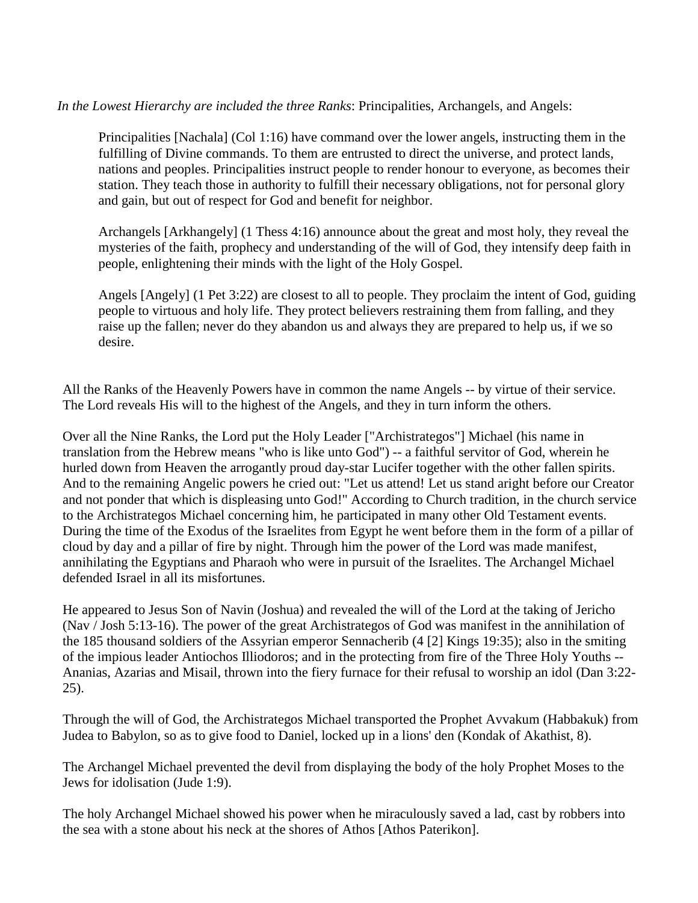*In the Lowest Hierarchy are included the three Ranks*: Principalities, Archangels, and Angels:

Principalities [Nachala] (Col 1:16) have command over the lower angels, instructing them in the fulfilling of Divine commands. To them are entrusted to direct the universe, and protect lands, nations and peoples. Principalities instruct people to render honour to everyone, as becomes their station. They teach those in authority to fulfill their necessary obligations, not for personal glory and gain, but out of respect for God and benefit for neighbor.

Archangels [Arkhangely] (1 Thess 4:16) announce about the great and most holy, they reveal the mysteries of the faith, prophecy and understanding of the will of God, they intensify deep faith in people, enlightening their minds with the light of the Holy Gospel.

Angels [Angely] (1 Pet 3:22) are closest to all to people. They proclaim the intent of God, guiding people to virtuous and holy life. They protect believers restraining them from falling, and they raise up the fallen; never do they abandon us and always they are prepared to help us, if we so desire.

All the Ranks of the Heavenly Powers have in common the name Angels -- by virtue of their service. The Lord reveals His will to the highest of the Angels, and they in turn inform the others.

Over all the Nine Ranks, the Lord put the Holy Leader ["Archistrategos"] Michael (his name in translation from the Hebrew means "who is like unto God") -- a faithful servitor of God, wherein he hurled down from Heaven the arrogantly proud day-star Lucifer together with the other fallen spirits. And to the remaining Angelic powers he cried out: "Let us attend! Let us stand aright before our Creator and not ponder that which is displeasing unto God!" According to Church tradition, in the church service to the Archistrategos Michael concerning him, he participated in many other Old Testament events. During the time of the Exodus of the Israelites from Egypt he went before them in the form of a pillar of cloud by day and a pillar of fire by night. Through him the power of the Lord was made manifest, annihilating the Egyptians and Pharaoh who were in pursuit of the Israelites. The Archangel Michael defended Israel in all its misfortunes.

He appeared to Jesus Son of Navin (Joshua) and revealed the will of the Lord at the taking of Jericho (Nav / Josh 5:13-16). The power of the great Archistrategos of God was manifest in the annihilation of the 185 thousand soldiers of the Assyrian emperor Sennacherib (4 [2] Kings 19:35); also in the smiting of the impious leader Antiochos Illiodoros; and in the protecting from fire of the Three Holy Youths -- Ananias, Azarias and Misail, thrown into the fiery furnace for their refusal to worship an idol (Dan 3:22- 25).

Through the will of God, the Archistrategos Michael transported the Prophet Avvakum (Habbakuk) from Judea to Babylon, so as to give food to Daniel, locked up in a lions' den (Kondak of Akathist, 8).

The Archangel Michael prevented the devil from displaying the body of the holy Prophet Moses to the Jews for idolisation (Jude 1:9).

The holy Archangel Michael showed his power when he miraculously saved a lad, cast by robbers into the sea with a stone about his neck at the shores of Athos [Athos Paterikon].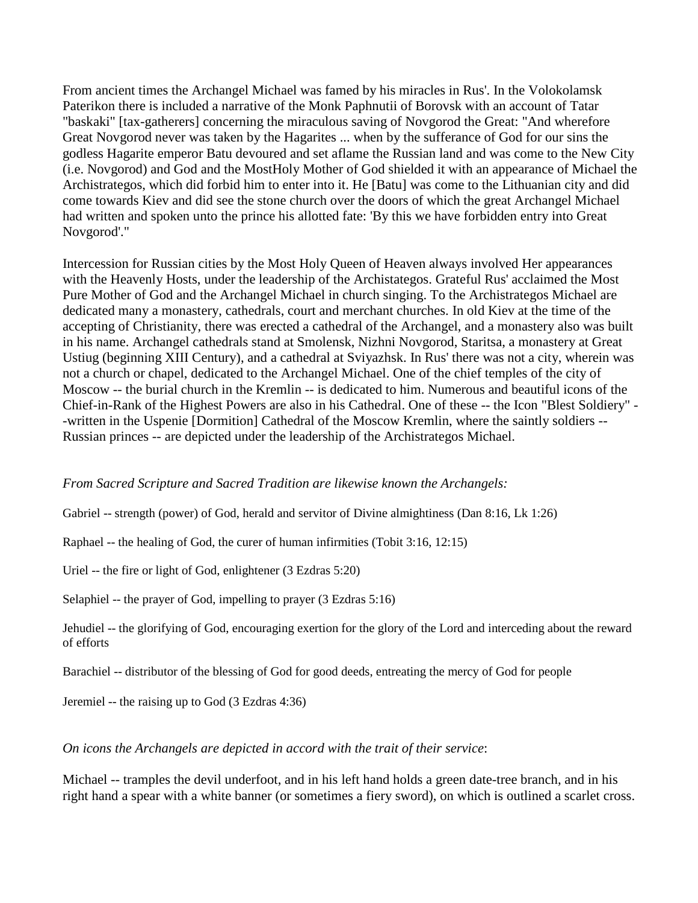From ancient times the Archangel Michael was famed by his miracles in Rus'. In the Volokolamsk Paterikon there is included a narrative of the Monk Paphnutii of Borovsk with an account of Tatar "baskaki" [tax-gatherers] concerning the miraculous saving of Novgorod the Great: "And wherefore Great Novgorod never was taken by the Hagarites ... when by the sufferance of God for our sins the godless Hagarite emperor Batu devoured and set aflame the Russian land and was come to the New City (i.e. Novgorod) and God and the MostHoly Mother of God shielded it with an appearance of Michael the Archistrategos, which did forbid him to enter into it. He [Batu] was come to the Lithuanian city and did come towards Kiev and did see the stone church over the doors of which the great Archangel Michael had written and spoken unto the prince his allotted fate: 'By this we have forbidden entry into Great Novgorod'."

Intercession for Russian cities by the Most Holy Queen of Heaven always involved Her appearances with the Heavenly Hosts, under the leadership of the Archistategos. Grateful Rus' acclaimed the Most Pure Mother of God and the Archangel Michael in church singing. To the Archistrategos Michael are dedicated many a monastery, cathedrals, court and merchant churches. In old Kiev at the time of the accepting of Christianity, there was erected a cathedral of the Archangel, and a monastery also was built in his name. Archangel cathedrals stand at Smolensk, Nizhni Novgorod, Staritsa, a monastery at Great Ustiug (beginning XIII Century), and a cathedral at Sviyazhsk. In Rus' there was not a city, wherein was not a church or chapel, dedicated to the Archangel Michael. One of the chief temples of the city of Moscow -- the burial church in the Kremlin -- is dedicated to him. Numerous and beautiful icons of the Chief-in-Rank of the Highest Powers are also in his Cathedral. One of these -- the Icon "Blest Soldiery" - -written in the Uspenie [Dormition] Cathedral of the Moscow Kremlin, where the saintly soldiers -- Russian princes -- are depicted under the leadership of the Archistrategos Michael.

## *From Sacred Scripture and Sacred Tradition are likewise known the Archangels:*

Gabriel -- strength (power) of God, herald and servitor of Divine almightiness (Dan 8:16, Lk 1:26)

Raphael -- the healing of God, the curer of human infirmities (Tobit 3:16, 12:15)

Uriel -- the fire or light of God, enlightener (3 Ezdras 5:20)

Selaphiel -- the prayer of God, impelling to prayer (3 Ezdras 5:16)

Jehudiel -- the glorifying of God, encouraging exertion for the glory of the Lord and interceding about the reward of efforts

Barachiel -- distributor of the blessing of God for good deeds, entreating the mercy of God for people

Jeremiel -- the raising up to God (3 Ezdras 4:36)

*On icons the Archangels are depicted in accord with the trait of their service*:

Michael -- tramples the devil underfoot, and in his left hand holds a green date-tree branch, and in his right hand a spear with a white banner (or sometimes a fiery sword), on which is outlined a scarlet cross.